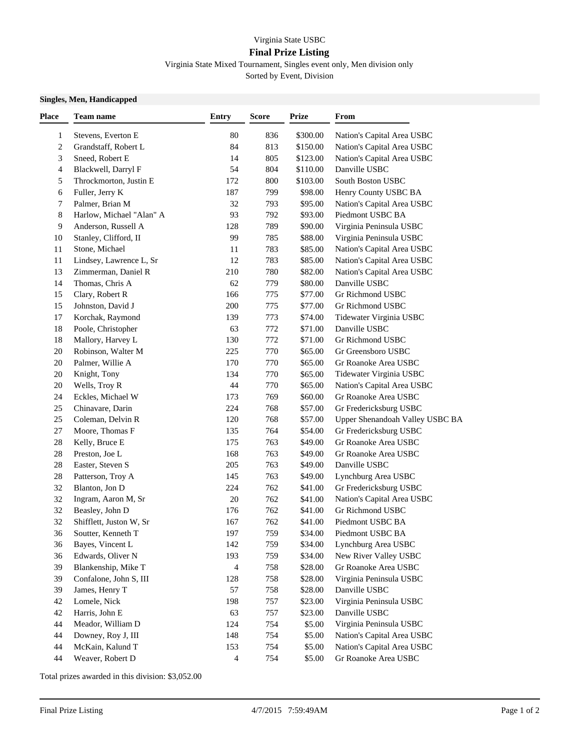## Virginia State USBC

## **Final Prize Listing**

Virginia State Mixed Tournament, Singles event only, Men division only Sorted by Event, Division

## **Singles, Men, Handicapped**

| Place                   | Team name                | <b>Entry</b> | <b>Score</b> | <b>Prize</b> | From                            |
|-------------------------|--------------------------|--------------|--------------|--------------|---------------------------------|
| $\mathbf{1}$            | Stevens, Everton E       | 80           | 836          | \$300.00     | Nation's Capital Area USBC      |
| $\overline{\mathbf{c}}$ | Grandstaff, Robert L     | 84           | 813          | \$150.00     | Nation's Capital Area USBC      |
| 3                       | Sneed, Robert E          | 14           | 805          | \$123.00     | Nation's Capital Area USBC      |
| 4                       | Blackwell, Darryl F      | 54           | 804          | \$110.00     | Danville USBC                   |
| 5                       | Throckmorton, Justin E   | 172          | 800          | \$103.00     | South Boston USBC               |
| 6                       | Fuller, Jerry K          | 187          | 799          | \$98.00      | Henry County USBC BA            |
| 7                       | Palmer, Brian M          | 32           | 793          | \$95.00      | Nation's Capital Area USBC      |
| 8                       | Harlow, Michael "Alan" A | 93           | 792          | \$93.00      | Piedmont USBC BA                |
| 9                       | Anderson, Russell A      | 128          | 789          | \$90.00      | Virginia Peninsula USBC         |
| 10                      | Stanley, Clifford, II    | 99           | 785          | \$88.00      | Virginia Peninsula USBC         |
| 11                      | Stone, Michael           | 11           | 783          | \$85.00      | Nation's Capital Area USBC      |
| 11                      | Lindsey, Lawrence L, Sr  | 12           | 783          | \$85.00      | Nation's Capital Area USBC      |
| 13                      | Zimmerman, Daniel R      | 210          | 780          | \$82.00      | Nation's Capital Area USBC      |
| 14                      | Thomas, Chris A          | 62           | 779          | \$80.00      | Danville USBC                   |
| 15                      | Clary, Robert R          | 166          | 775          | \$77.00      | Gr Richmond USBC                |
| 15                      | Johnston, David J        | 200          | 775          | \$77.00      | Gr Richmond USBC                |
| 17                      | Korchak, Raymond         | 139          | 773          | \$74.00      | Tidewater Virginia USBC         |
| 18                      | Poole, Christopher       | 63           | 772          | \$71.00      | Danville USBC                   |
| 18                      | Mallory, Harvey L        | 130          | 772          | \$71.00      | Gr Richmond USBC                |
| 20                      | Robinson, Walter M       | 225          | 770          | \$65.00      | Gr Greensboro USBC              |
| 20                      | Palmer, Willie A         | 170          | 770          | \$65.00      | Gr Roanoke Area USBC            |
| 20                      | Knight, Tony             | 134          | 770          | \$65.00      | Tidewater Virginia USBC         |
| 20                      | Wells, Troy R            | 44           | 770          | \$65.00      | Nation's Capital Area USBC      |
| 24                      | Eckles, Michael W        | 173          | 769          | \$60.00      | Gr Roanoke Area USBC            |
| $25\,$                  | Chinavare, Darin         | 224          | 768          | \$57.00      | Gr Fredericksburg USBC          |
| 25                      | Coleman, Delvin R        | 120          | 768          | \$57.00      | Upper Shenandoah Valley USBC BA |
| 27                      | Moore, Thomas F          | 135          | 764          | \$54.00      | Gr Fredericksburg USBC          |
| $28\,$                  | Kelly, Bruce E           | 175          | 763          | \$49.00      | Gr Roanoke Area USBC            |
| $28\,$                  | Preston, Joe L           | 168          | 763          | \$49.00      | Gr Roanoke Area USBC            |
| $28\,$                  | Easter, Steven S         | 205          | 763          | \$49.00      | Danville USBC                   |
| $28\,$                  | Patterson, Troy A        | 145          | 763          | \$49.00      | Lynchburg Area USBC             |
| 32                      | Blanton, Jon D           | 224          | 762          | \$41.00      | Gr Fredericksburg USBC          |
| 32                      | Ingram, Aaron M, Sr      | 20           | 762          | \$41.00      | Nation's Capital Area USBC      |
| 32                      | Beasley, John D          | 176          | 762          | \$41.00      | Gr Richmond USBC                |
| 32                      | Shifflett, Juston W, Sr  | 167          | 762          | \$41.00      | Piedmont USBC BA                |
| 36                      | Soutter, Kenneth T       | 197          | 759          | \$34.00      | Piedmont USBC BA                |
| 36                      | Bayes, Vincent L         | 142          | 759          | \$34.00      | Lynchburg Area USBC             |
| 36                      | Edwards, Oliver N        | 193          | 759          | \$34.00      | New River Valley USBC           |
| 39                      | Blankenship, Mike T      | 4            | 758          | \$28.00      | Gr Roanoke Area USBC            |
| 39                      | Confalone, John S, III   | 128          | 758          | \$28.00      | Virginia Peninsula USBC         |
| 39                      | James, Henry T           | 57           | 758          | \$28.00      | Danville USBC                   |
| $42\,$                  | Lomele, Nick             | 198          | 757          | \$23.00      | Virginia Peninsula USBC         |
| $42\,$                  | Harris, John E           | 63           | 757          | \$23.00      | Danville USBC                   |
| 44                      | Meador, William D        | 124          | 754          | \$5.00       | Virginia Peninsula USBC         |
| 44                      | Downey, Roy J, III       | 148          | 754          | \$5.00       | Nation's Capital Area USBC      |
| 44                      | McKain, Kalund T         | 153          | 754          | \$5.00       | Nation's Capital Area USBC      |
| 44                      | Weaver, Robert D         | 4            | 754          | \$5.00       | Gr Roanoke Area USBC            |

Total prizes awarded in this division: \$3,052.00